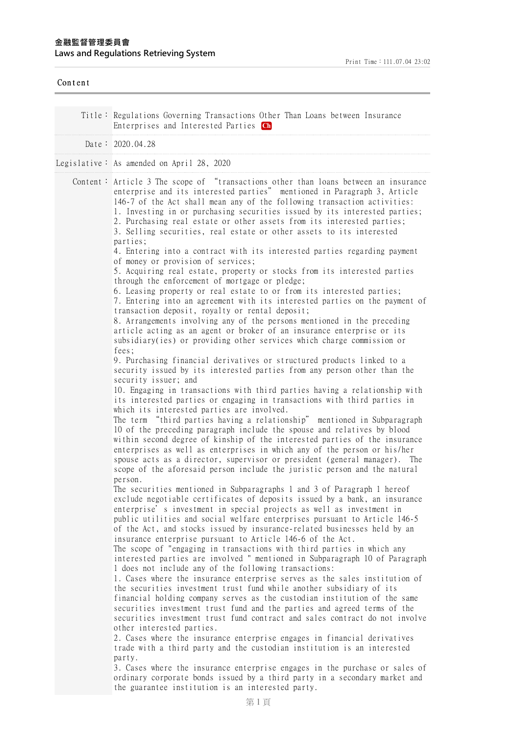| Content |                                                                                                                                                                                                                                                                                                                                                                                                                                                                                                                                                                                                                                                                                                                                                                                                                                                                                                                                                                                                                                                                                                                                                                                                                                                                                                                                                                                                                                                                                       |
|---------|---------------------------------------------------------------------------------------------------------------------------------------------------------------------------------------------------------------------------------------------------------------------------------------------------------------------------------------------------------------------------------------------------------------------------------------------------------------------------------------------------------------------------------------------------------------------------------------------------------------------------------------------------------------------------------------------------------------------------------------------------------------------------------------------------------------------------------------------------------------------------------------------------------------------------------------------------------------------------------------------------------------------------------------------------------------------------------------------------------------------------------------------------------------------------------------------------------------------------------------------------------------------------------------------------------------------------------------------------------------------------------------------------------------------------------------------------------------------------------------|
|         | Title: Regulations Governing Transactions Other Than Loans between Insurance<br>Enterprises and Interested Parties Ch                                                                                                                                                                                                                                                                                                                                                                                                                                                                                                                                                                                                                                                                                                                                                                                                                                                                                                                                                                                                                                                                                                                                                                                                                                                                                                                                                                 |
|         | Date: 2020.04.28                                                                                                                                                                                                                                                                                                                                                                                                                                                                                                                                                                                                                                                                                                                                                                                                                                                                                                                                                                                                                                                                                                                                                                                                                                                                                                                                                                                                                                                                      |
|         | Legislative: As amended on April 28, 2020                                                                                                                                                                                                                                                                                                                                                                                                                                                                                                                                                                                                                                                                                                                                                                                                                                                                                                                                                                                                                                                                                                                                                                                                                                                                                                                                                                                                                                             |
|         | Content: Article 3 The scope of "transactions other than loans between an insurance<br>enterprise and its interested parties" mentioned in Paragraph 3, Article<br>146-7 of the Act shall mean any of the following transaction activities:<br>1. Investing in or purchasing securities issued by its interested parties;<br>2. Purchasing real estate or other assets from its interested parties;<br>3. Selling securities, real estate or other assets to its interested<br>parties;<br>4. Entering into a contract with its interested parties regarding payment<br>of money or provision of services;<br>5. Acquiring real estate, property or stocks from its interested parties<br>through the enforcement of mortgage or pledge;                                                                                                                                                                                                                                                                                                                                                                                                                                                                                                                                                                                                                                                                                                                                              |
|         | 6. Leasing property or real estate to or from its interested parties;<br>7. Entering into an agreement with its interested parties on the payment of<br>transaction deposit, royalty or rental deposit;<br>8. Arrangements involving any of the persons mentioned in the preceding<br>article acting as an agent or broker of an insurance enterprise or its<br>subsidiary (ies) or providing other services which charge commission or                                                                                                                                                                                                                                                                                                                                                                                                                                                                                                                                                                                                                                                                                                                                                                                                                                                                                                                                                                                                                                               |
|         | fees;<br>9. Purchasing financial derivatives or structured products linked to a<br>security issued by its interested parties from any person other than the<br>security issuer; and<br>10. Engaging in transactions with third parties having a relationship with<br>its interested parties or engaging in transactions with third parties in<br>which its interested parties are involved.<br>The term "third parties having a relationship" mentioned in Subparagraph<br>10 of the preceding paragraph include the spouse and relatives by blood<br>within second degree of kinship of the interested parties of the insurance<br>enterprises as well as enterprises in which any of the person or his/her<br>spouse acts as a director, supervisor or president (general manager). The<br>scope of the aforesaid person include the juristic person and the natural<br>person.                                                                                                                                                                                                                                                                                                                                                                                                                                                                                                                                                                                                     |
|         | The securities mentioned in Subparagraphs 1 and 3 of Paragraph 1 hereof<br>exclude negotiable certificates of deposits issued by a bank, an insurance<br>enterprise' s investment in special projects as well as investment in<br>public utilities and social welfare enterprises pursuant to Article 146-5<br>of the Act, and stocks issued by insurance-related businesses held by an<br>insurance enterprise pursuant to Article 146-6 of the Act.<br>The scope of "engaging in transactions with third parties in which any<br>interested parties are involved " mentioned in Subparagraph 10 of Paragraph<br>1 does not include any of the following transactions:<br>1. Cases where the insurance enterprise serves as the sales institution of<br>the securities investment trust fund while another subsidiary of its<br>financial holding company serves as the custodian institution of the same<br>securities investment trust fund and the parties and agreed terms of the<br>securities investment trust fund contract and sales contract do not involve<br>other interested parties.<br>2. Cases where the insurance enterprise engages in financial derivatives<br>trade with a third party and the custodian institution is an interested<br>party.<br>3. Cases where the insurance enterprise engages in the purchase or sales of<br>ordinary corporate bonds issued by a third party in a secondary market and<br>the guarantee institution is an interested party. |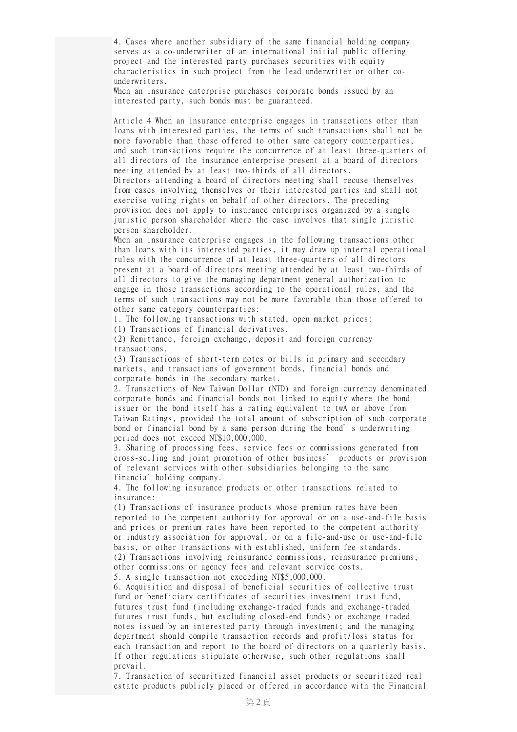4. Cases where another subsidiary of the same financial holding company serves as a co-underwriter of an international initial public offering project and the interested party purchases securities with equity characteristics in such project from the lead underwriter or other counderwriters.

When an insurance enterprise purchases corporate bonds issued by an interested party, such bonds must be guaranteed.

Article 4 When an insurance enterprise engages in transactions other than loans with interested parties, the terms of such transactions shall not be more favorable than those offered to other same category counterparties, and such transactions require the concurrence of at least three-quarters of all directors of the insurance enterprise present at a board of directors meeting attended by at least two-thirds of all directors.

Directors attending a board of directors meeting shall recuse themselves from cases involving themselves or their interested parties and shall not exercise voting rights on behalf of other directors. The preceding provision does not apply to insurance enterprises organized by a single juristic person shareholder where the case involves that single juristic person shareholder.

When an insurance enterprise engages in the following transactions other than loans with its interested parties, it may draw up internal operational rules with the concurrence of at least three-quarters of all directors present at a board of directors meeting attended by at least two-thirds of all directors to give the managing department general authorization to engage in those transactions according to the operational rules, and the terms of such transactions may not be more favorable than those offered to other same category counterparties:

1. The following transactions with stated, open market prices:

(1) Transactions of financial derivatives.

(2) Remittance, foreign exchange, deposit and foreign currency transactions.

(3) Transactions of short-term notes or bills in primary and secondary markets, and transactions of government bonds, financial bonds and corporate bonds in the secondary market.

2. Transactions of New Taiwan Dollar (NTD) and foreign currency denominated corporate bonds and financial bonds not linked to equity where the bond issuer or the bond itself has a rating equivalent to twA or above from Taiwan Ratings, provided the total amount of subscription of such corporate bond or financial bond by a same person during the bond's underwriting period does not exceed NT\$10,000,000.

3. Sharing of processing fees, service fees or commissions generated from cross-selling and joint promotion of other business' products or provision of relevant services with other subsidiaries belonging to the same financial holding company.

4. The following insurance products or other transactions related to insurance:

(1) Transactions of insurance products whose premium rates have been reported to the competent authority for approval or on a use-and-file basis and prices or premium rates have been reported to the competent authority or industry association for approval, or on a file-and-use or use-and-file basis, or other transactions with established, uniform fee standards. (2) Transactions involving reinsurance commissions, reinsurance premiums, other commissions or agency fees and relevant service costs.

5. A single transaction not exceeding NT\$5,000,000.

6. Acquisition and disposal of beneficial securities of collective trust fund or beneficiary certificates of securities investment trust fund, futures trust fund (including exchange-traded funds and exchange-traded futures trust funds, but excluding closed-end funds) or exchange traded notes issued by an interested party through investment; and the managing department should compile transaction records and profit/loss status for each transaction and report to the board of directors on a quarterly basis. If other regulations stipulate otherwise, such other regulations shall prevail.

7. Transaction of securitized financial asset products or securitized real estate products publicly placed or offered in accordance with the Financial